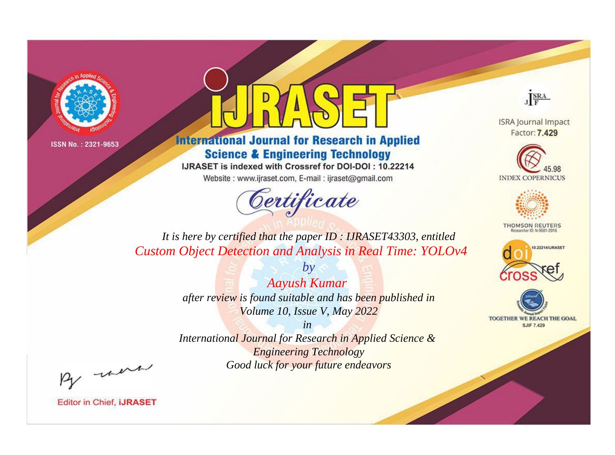



**International Journal for Research in Applied Science & Engineering Technology** 

IJRASET is indexed with Crossref for DOI-DOI: 10.22214

Website: www.ijraset.com, E-mail: ijraset@gmail.com



JERA

**ISRA Journal Impact** Factor: 7.429





**THOMSON REUTERS** 



TOGETHER WE REACH THE GOAL **SJIF 7.429** 

*It is here by certified that the paper ID : IJRASET43303, entitled Custom Object Detection and Analysis in Real Time: YOLOv4*

> *Aayush Kumar after review is found suitable and has been published in Volume 10, Issue V, May 2022*

*by*

*in* 

*International Journal for Research in Applied Science & Engineering Technology Good luck for your future endeavors*

By morn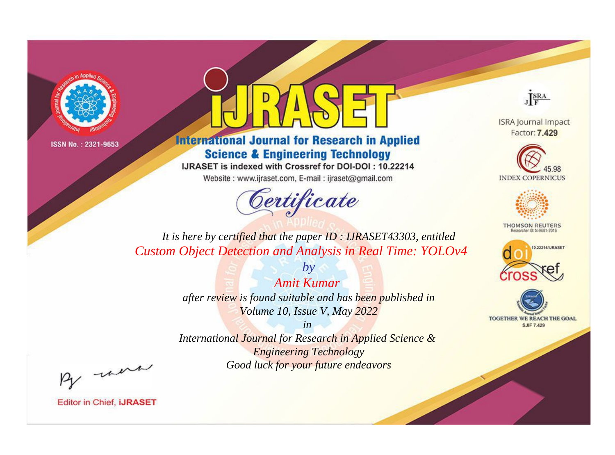



**International Journal for Research in Applied Science & Engineering Technology** 

IJRASET is indexed with Crossref for DOI-DOI: 10.22214

Website: www.ijraset.com, E-mail: ijraset@gmail.com



JERA

**ISRA Journal Impact** Factor: 7.429





**THOMSON REUTERS** 



TOGETHER WE REACH THE GOAL **SJIF 7.429** 

*It is here by certified that the paper ID : IJRASET43303, entitled Custom Object Detection and Analysis in Real Time: YOLOv4*

> *Amit Kumar after review is found suitable and has been published in Volume 10, Issue V, May 2022*

*by*

*in* 

*International Journal for Research in Applied Science & Engineering Technology Good luck for your future endeavors*

By morn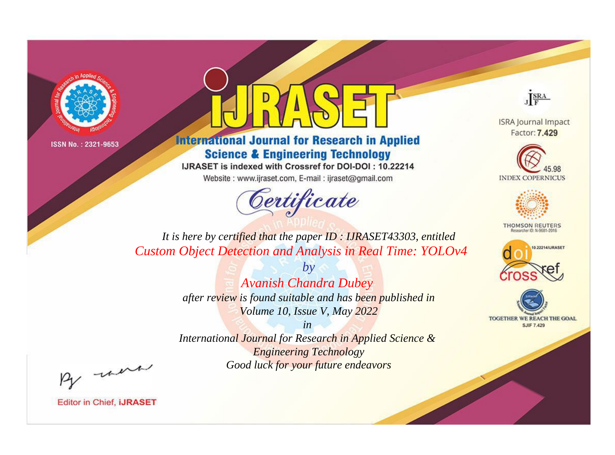



**International Journal for Research in Applied Science & Engineering Technology** 

IJRASET is indexed with Crossref for DOI-DOI: 10.22214

Website: www.ijraset.com, E-mail: ijraset@gmail.com



JERA

**ISRA Journal Impact** Factor: 7.429





**THOMSON REUTERS** 



TOGETHER WE REACH THE GOAL **SJIF 7.429** 

It is here by certified that the paper ID : IJRASET43303, entitled **Custom Object Detection and Analysis in Real Time: YOLOv4** 

> $b\nu$ **Avanish Chandra Dubey** after review is found suitable and has been published in Volume 10, Issue V, May 2022

> $in$ International Journal for Research in Applied Science & **Engineering Technology** Good luck for your future endeavors

By morn